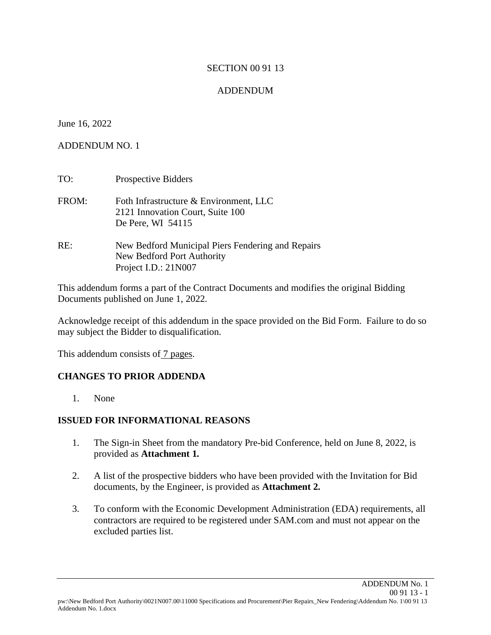#### SECTION 00 91 13

### ADDENDUM

#### June 16, 2022

#### ADDENDUM NO. 1

TO: Prospective Bidders FROM: Foth Infrastructure & Environment, LLC 2121 Innovation Court, Suite 100 De Pere, WI 54115 RE: New Bedford Municipal Piers Fendering and Repairs New Bedford Port Authority Project I.D.: 21N007

This addendum forms a part of the Contract Documents and modifies the original Bidding Documents published on June 1, 2022.

Acknowledge receipt of this addendum in the space provided on the Bid Form. Failure to do so may subject the Bidder to disqualification.

This addendum consists of 7 pages.

#### **CHANGES TO PRIOR ADDENDA**

1. None

#### **ISSUED FOR INFORMATIONAL REASONS**

- 1. The Sign-in Sheet from the mandatory Pre-bid Conference, held on June 8, 2022, is provided as **Attachment 1.**
- 2. A list of the prospective bidders who have been provided with the Invitation for Bid documents, by the Engineer, is provided as **Attachment 2.**
- 3. To conform with the Economic Development Administration (EDA) requirements, all contractors are required to be registered under SAM.com and must not appear on the excluded parties list.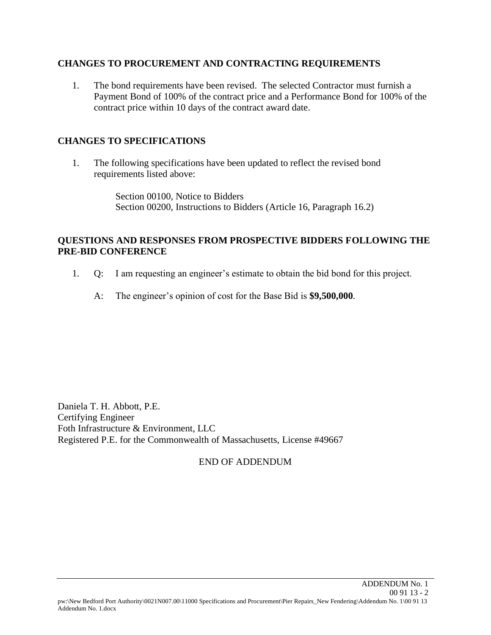#### **CHANGES TO PROCUREMENT AND CONTRACTING REQUIREMENTS**

1. The bond requirements have been revised. The selected Contractor must furnish a Payment Bond of 100% of the contract price and a Performance Bond for 100% of the contract price within 10 days of the contract award date.

#### **CHANGES TO SPECIFICATIONS**

1. The following specifications have been updated to reflect the revised bond requirements listed above:

> Section 00100, Notice to Bidders Section 00200, Instructions to Bidders (Article 16, Paragraph 16.2)

#### **QUESTIONS AND RESPONSES FROM PROSPECTIVE BIDDERS FOLLOWING THE PRE-BID CONFERENCE**

- 1. Q: I am requesting an engineer's estimate to obtain the bid bond for this project.
	- A: The engineer's opinion of cost for the Base Bid is **\$9,500,000**.

Daniela T. H. Abbott, P.E. Certifying Engineer Foth Infrastructure & Environment, LLC Registered P.E. for the Commonwealth of Massachusetts, License #49667

#### END OF ADDENDUM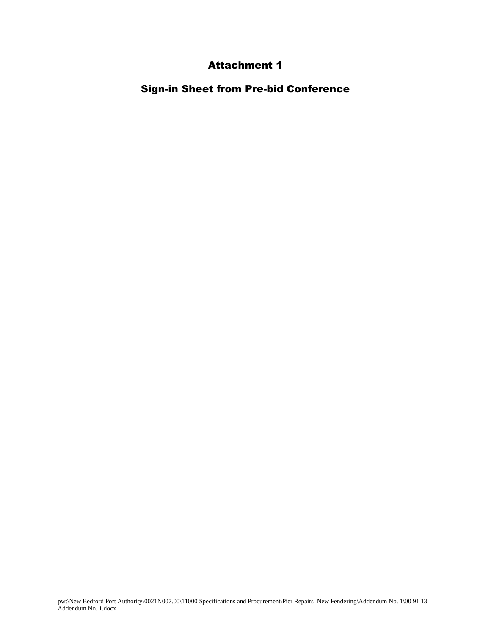## Attachment 1

Sign-in Sheet from Pre-bid Conference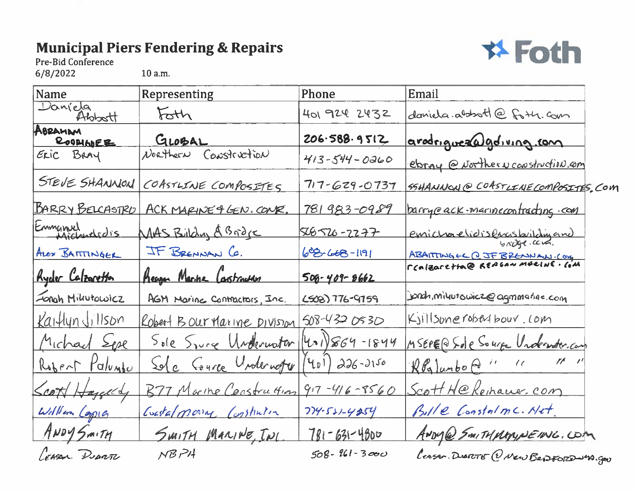# **Municipal Piers Fendering & Repairs**



Pre-Bid Conference

6/8/2022

10 a.m.

| Name                       | Representing                 | Phone                    | Email                                    |
|----------------------------|------------------------------|--------------------------|------------------------------------------|
| Daniela<br>Abbott          | Foth                         | 401 924 2432             | daniela. abbott@foth. com                |
| ABRAHAM<br><b>ROOMADER</b> | GLOBAL                       | 206.588.9512             | arodrigueza goliving com                 |
| ERIC BRAY                  | Northern Construction        | $413 - 544 - 0260$       | ebray @ vorther y construction com       |
| STEVE SHANNON              | COASTLINE COMPOSITES         | $717 - 629 - 0737$       | SSHANNON @ COASTLINE COMPOSITIES, COM    |
| BARRY BELCASTRO            | ACK MARINE & GEN. CONR.      | 781983-0989              | <u>barryeack-marinecontracting com</u>   |
| Emmanuel                   | MAS Bildy ABroje             | <u>566-2277</u>          | emichaelidisemsbritchigand               |
| ALEX BATTINGER             | IF BRENNAN CO.               | $68 - 66 - 1191$         | 6007<br>ABAITTING EL Q JF BRENNAN. COM   |
| Ryder Calzaretton          | Reagan Marine Construction   | $509 - 409 - 8662$       | CCALEACETTA@ REAGAN MORINE. COM          |
| Fongh Millutowicz          | AGM Marine Contractors, Inc. | LSOB) 776-9759           | jondh,miluutowicz@agmmarine.com          |
| Kaitlyn Jillson            | Robert Bour Marine Division  | $508 - 4320530$          | Kjillsbnerobarbour.com                   |
| Michael Sepe               | Sole Spire Underwater        | $ 401\rangle$ 864-1844   | MSEPE@Sole Source Undernoter.com         |
| Robert Palvado             | Sole Course Underweger       | $(401)$ 226-2150         | $\mathcal{U}$<br>$\ell$<br>RPg Junbo @ " |
| Scott Hazelly              | B77 Marine Construction      | $917 - 416 - 8560$       | Scott H@Remauer.com                      |
| William Copie              | Coastalmona Constrution      | $774 - 531 - 4254$       | Bille Constalmc. Net                     |
| ANDY SMITH                 | SMITH MARINE, INC.           | <u>781 - 631 - 4800 </u> | ANDY@ SMITHMMMNEING.COM                  |
| Coran Deavor               | $NB$ $PI$                    | $508 - 261 - 3000$       | Leasan DUARTIE (V New BepFORD-M). GOU    |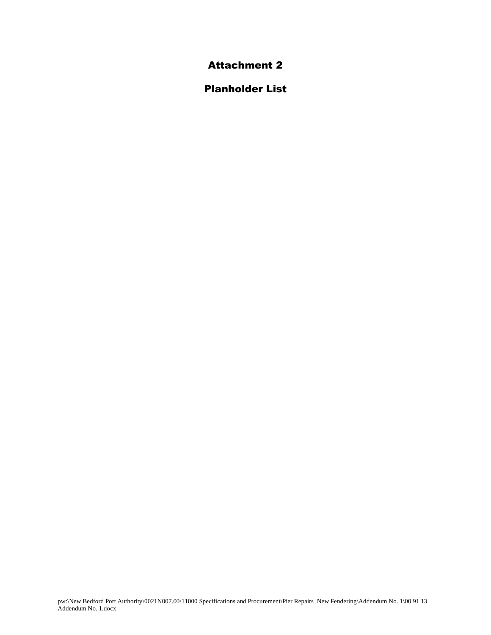Attachment 2

Planholder List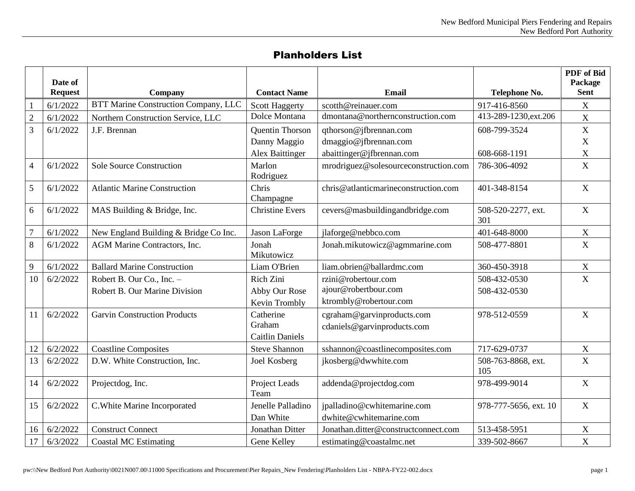## Planholders List

|                | Date of<br><b>Request</b> | Company                                     | <b>Contact Name</b>                    | <b>Email</b>                                             | Telephone No.                          | PDF of Bid<br>Package<br><b>Sent</b> |
|----------------|---------------------------|---------------------------------------------|----------------------------------------|----------------------------------------------------------|----------------------------------------|--------------------------------------|
|                |                           | <b>BTT Marine Construction Company, LLC</b> |                                        |                                                          |                                        |                                      |
| $\mathbf{1}$   | 6/1/2022                  |                                             | <b>Scott Haggerty</b><br>Dolce Montana | scotth@reinauer.com<br>dmontana@northernconstruction.com | 917-416-8560<br>413-289-1230, ext. 206 | X                                    |
| $\overline{c}$ | 6/1/2022                  | Northern Construction Service, LLC          |                                        |                                                          |                                        | $\mathbf X$                          |
| $\overline{3}$ | 6/1/2022                  | J.F. Brennan                                | Quentin Thorson                        | qthorson@jfbrennan.com                                   | 608-799-3524                           | $\mathbf X$                          |
|                |                           |                                             | Danny Maggio                           | dmaggio@jfbrennan.com                                    |                                        | $\mathbf X$                          |
|                |                           |                                             | <b>Alex Baittinger</b>                 | abaittinger@jfbrennan.com                                | 608-668-1191                           | $\mathbf X$                          |
| $\overline{4}$ | 6/1/2022                  | <b>Sole Source Construction</b>             | Marlon<br>Rodriguez                    | mrodriguez@solesourceconstruction.com                    | 786-306-4092                           | $\mathbf X$                          |
| 5              | 6/1/2022                  | <b>Atlantic Marine Construction</b>         | Chris<br>Champagne                     | chris@atlanticmarineconstruction.com                     | 401-348-8154                           | $\mathbf X$                          |
| 6              | 6/1/2022                  | MAS Building & Bridge, Inc.                 | <b>Christine Evers</b>                 | cevers@masbuildingandbridge.com                          | 508-520-2277, ext.<br>301              | $\mathbf X$                          |
| $\overline{7}$ | 6/1/2022                  | New England Building & Bridge Co Inc.       | Jason LaForge                          | jlaforge@nebbco.com                                      | 401-648-8000                           | $\mathbf X$                          |
| 8              | 6/1/2022                  | AGM Marine Contractors, Inc.                | Jonah<br>Mikutowicz                    | Jonah.mikutowicz@agmmarine.com                           | 508-477-8801                           | $\mathbf X$                          |
| 9              | 6/1/2022                  | <b>Ballard Marine Construction</b>          | Liam O'Brien                           | liam.obrien@ballardmc.com                                | 360-450-3918                           | $\mathbf X$                          |
| 10             | 6/2/2022                  | Robert B. Our Co., Inc. -                   | Rich Zini                              | rzini@robertour.com                                      | 508-432-0530                           | $\mathbf X$                          |
|                |                           | Robert B. Our Marine Division               | Abby Our Rose                          | ajour@robertbour.com                                     | 508-432-0530                           |                                      |
|                |                           |                                             | Kevin Trombly                          | ktrombly@robertour.com                                   |                                        |                                      |
| 11             | 6/2/2022                  | <b>Garvin Construction Products</b>         | Catherine                              | cgraham@garvinproducts.com                               | 978-512-0559                           | $\mathbf X$                          |
|                |                           |                                             | Graham                                 | cdaniels@garvinproducts.com                              |                                        |                                      |
|                |                           |                                             | <b>Caitlin Daniels</b>                 |                                                          |                                        |                                      |
| 12             | 6/2/2022                  | <b>Coastline Composites</b>                 | <b>Steve Shannon</b>                   | sshannon@coastlinecomposites.com                         | 717-629-0737                           | $\mathbf X$                          |
| 13             | 6/2/2022                  | D.W. White Construction, Inc.               | Joel Kosberg                           | jkosberg@dwwhite.com                                     | 508-763-8868, ext.<br>105              | $\mathbf X$                          |
| 14             | 6/2/2022                  | Projectdog, Inc.                            | Project Leads<br>Team                  | addenda@projectdog.com                                   | 978-499-9014                           | $\mathbf X$                          |
| 15             | 6/2/2022                  | C. White Marine Incorporated                | Jenelle Palladino<br>Dan White         | jpalladino@cwhitemarine.com<br>dwhite@cwhitemarine.com   | 978-777-5656, ext. 10                  | $\mathbf X$                          |
| 16             | 6/2/2022                  | <b>Construct Connect</b>                    | Jonathan Ditter                        | Jonathan.ditter@constructconnect.com                     | 513-458-5951                           | $\mathbf X$                          |
| 17             | 6/3/2022                  | <b>Coastal MC Estimating</b>                | Gene Kelley                            | estimating@coastalmc.net                                 | 339-502-8667                           | $\mathbf X$                          |